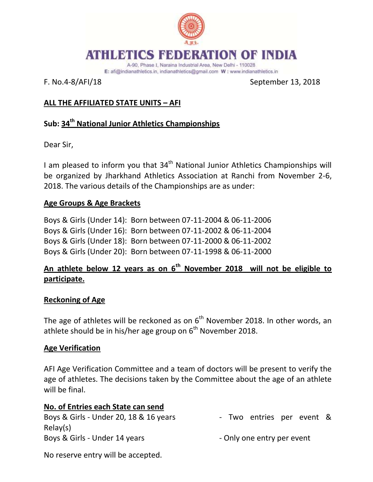

#### ATION OF INDIA **ATHEMPTICS**

A-90, Phase I, Naraina Industrial Area, New Delhi - 110028 E: afi@indianathletics.in, indianathletics@gmail.com W: www.indianathletics.in

F. No.4-8/AFI/18 September 13, 2018

# **ALL THE AFFILIATED STATE UNITS – AFI**

# **Sub: 34th National Junior Athletics Championships**

Dear Sir,

I am pleased to inform you that  $34<sup>th</sup>$  National Junior Athletics Championships will be organized by Jharkhand Athletics Association at Ranchi from November 2-6, 2018. The various details of the Championships are as under:

### **Age Groups & Age Brackets**

Boys & Girls (Under 14): Born between 07-11-2004 & 06-11-2006 Boys & Girls (Under 16): Born between 07-11-2002 & 06-11-2004 Boys & Girls (Under 18): Born between 07-11-2000 & 06-11-2002 Boys & Girls (Under 20): Born between 07-11-1998 & 06-11-2000

# **An athlete below 12 years as on 6th November 2018 will not be eligible to participate.**

#### **Reckoning of Age**

The age of athletes will be reckoned as on  $6<sup>th</sup>$  November 2018. In other words, an athlete should be in his/her age group on  $6<sup>th</sup>$  November 2018.

#### **Age Verification**

AFI Age Verification Committee and a team of doctors will be present to verify the age of athletes. The decisions taken by the Committee about the age of an athlete will be final.

| No. of Entries each State can send     |                            |  |  |  |  |
|----------------------------------------|----------------------------|--|--|--|--|
| Boys & Girls - Under 20, 18 & 16 years | - Two entries per event &  |  |  |  |  |
| Relay(s)                               |                            |  |  |  |  |
| Boys & Girls - Under 14 years          | - Only one entry per event |  |  |  |  |

No reserve entry will be accepted.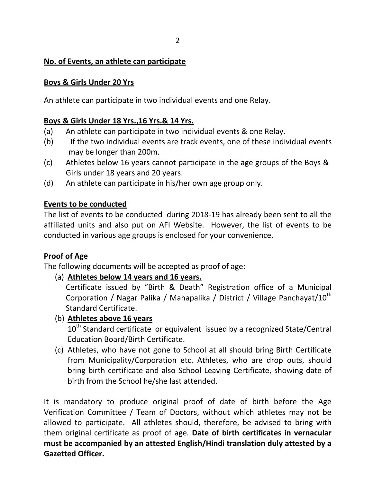#### **No. of Events, an athlete can participate**

#### **Boys & Girls Under 20 Yrs**

An athlete can participate in two individual events and one Relay.

## **Boys & Girls Under 18 Yrs.,16 Yrs.& 14 Yrs.**

- (a) An athlete can participate in two individual events & one Relay.
- (b) If the two individual events are track events, one of these individual events may be longer than 200m.
- (c) Athletes below 16 years cannot participate in the age groups of the Boys & Girls under 18 years and 20 years.
- (d) An athlete can participate in his/her own age group only.

#### **Events to be conducted**

The list of events to be conducted during 2018-19 has already been sent to all the affiliated units and also put on AFI Website. However, the list of events to be conducted in various age groups is enclosed for your convenience.

#### **Proof of Age**

The following documents will be accepted as proof of age:

(a) **Athletes below 14 years and 16 years.**

Certificate issued by "Birth & Death" Registration office of a Municipal Corporation / Nagar Palika / Mahapalika / District / Village Panchayat/10<sup>th</sup> Standard Certificate.

# (b) **Athletes above 16 years**

10<sup>th</sup> Standard certificate or equivalent issued by a recognized State/Central Education Board/Birth Certificate.

(c) Athletes, who have not gone to School at all should bring Birth Certificate from Municipality/Corporation etc. Athletes, who are drop outs, should bring birth certificate and also School Leaving Certificate, showing date of birth from the School he/she last attended.

It is mandatory to produce original proof of date of birth before the Age Verification Committee / Team of Doctors, without which athletes may not be allowed to participate. All athletes should, therefore, be advised to bring with them original certificate as proof of age. **Date of birth certificates in vernacular must be accompanied by an attested English/Hindi translation duly attested by a Gazetted Officer.**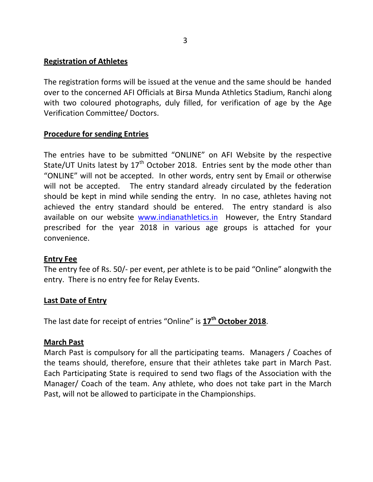#### **Registration of Athletes**

The registration forms will be issued at the venue and the same should be handed over to the concerned AFI Officials at Birsa Munda Athletics Stadium, Ranchi along with two coloured photographs, duly filled, for verification of age by the Age Verification Committee/ Doctors.

#### **Procedure for sending Entries**

The entries have to be submitted "ONLINE" on AFI Website by the respective State/UT Units latest by  $17<sup>th</sup>$  October 2018. Entries sent by the mode other than "ONLINE" will not be accepted. In other words, entry sent by Email or otherwise will not be accepted. The entry standard already circulated by the federation should be kept in mind while sending the entry. In no case, athletes having not achieved the entry standard should be entered. The entry standard is also available on our website [www.indianathletics.in](http://www.indianathletics.in/) However, the Entry Standard prescribed for the year 2018 in various age groups is attached for your convenience.

#### **Entry Fee**

The entry fee of Rs. 50/- per event, per athlete is to be paid "Online" alongwith the entry. There is no entry fee for Relay Events.

#### **Last Date of Entry**

The last date for receipt of entries "Online" is **17th October 2018**.

#### **March Past**

March Past is compulsory for all the participating teams. Managers / Coaches of the teams should, therefore, ensure that their athletes take part in March Past. Each Participating State is required to send two flags of the Association with the Manager/ Coach of the team. Any athlete, who does not take part in the March Past, will not be allowed to participate in the Championships.